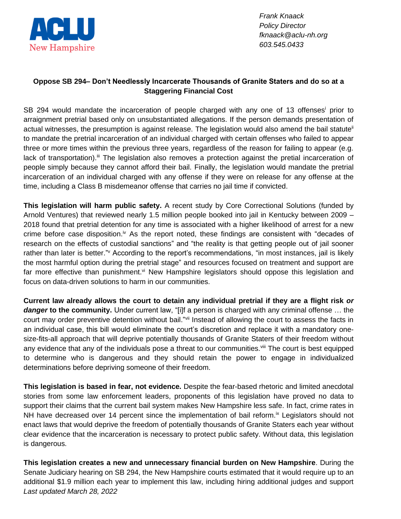

*Frank Knaack Policy Director fknaack@aclu-nh.org 603.545.0433*

## **Oppose SB 294– Don't Needlessly Incarcerate Thousands of Granite Staters and do so at a Staggering Financial Cost**

SB 294 would mandate the incarceration of people charged with any one of 13 offenses prior to arraignment pretrial based only on unsubstantiated allegations. If the person demands presentation of actual witnesses, the presumption is against release. The legislation would also amend the bail statute<sup>ii</sup> to mandate the pretrial incarceration of an individual charged with certain offenses who failed to appear three or more times within the previous three years, regardless of the reason for failing to appear (e.g. lack of transportation).<sup>iii</sup> The legislation also removes a protection against the pretial incarceration of people simply because they cannot afford their bail. Finally, the legislation would mandate the pretrial incarceration of an individual charged with any offense if they were on release for any offense at the time, including a Class B misdemeanor offense that carries no jail time if convicted.

**This legislation will harm public safety.** A recent study by Core Correctional Solutions (funded by Arnold Ventures) that reviewed nearly 1.5 million people booked into jail in Kentucky between 2009 – 2018 found that pretrial detention for any time is associated with a higher likelihood of arrest for a new crime before case disposition.<sup>iv</sup> As the report noted, these findings are consistent with "decades of research on the effects of custodial sanctions" and "the reality is that getting people out of jail sooner rather than later is better."<sup>v</sup> According to the report's recommendations, "in most instances, jail is likely the most harmful option during the pretrial stage" and resources focused on treatment and support are far more effective than punishment.<sup>vi</sup> New Hampshire legislators should oppose this legislation and focus on data-driven solutions to harm in our communities.

**Current law already allows the court to detain any individual pretrial if they are a flight risk** *or danger* **to the community.** Under current law, "[i]f a person is charged with any criminal offense … the court may order preventive detention without bail."<sup>vii</sup> Instead of allowing the court to assess the facts in an individual case, this bill would eliminate the court's discretion and replace it with a mandatory onesize-fits-all approach that will deprive potentially thousands of Granite Staters of their freedom without any evidence that any of the individuals pose a threat to our communities.<sup>viii</sup> The court is best equipped to determine who is dangerous and they should retain the power to engage in individualized determinations before depriving someone of their freedom.

**This legislation is based in fear, not evidence.** Despite the fear-based rhetoric and limited anecdotal stories from some law enforcement leaders, proponents of this legislation have proved no data to support their claims that the current bail system makes New Hampshire less safe. In fact, crime rates in NH have decreased over 14 percent since the implementation of bail reform.<sup>ix</sup> Legislators should not enact laws that would deprive the freedom of potentially thousands of Granite Staters each year without clear evidence that the incarceration is necessary to protect public safety. Without data, this legislation is dangerous.

*Last updated March 28, 2022* **This legislation creates a new and unnecessary financial burden on New Hampshire**. During the Senate Judiciary hearing on SB 294, the New Hampshire courts estimated that it would require up to an additional \$1.9 million each year to implement this law, including hiring additional judges and support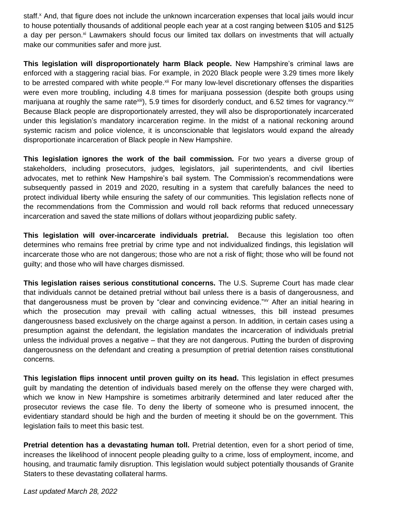staff.<sup>x</sup> And, that figure does not include the unknown incarceration expenses that local jails would incur to house potentially thousands of additional people each year at a cost ranging between \$105 and \$125 a day per person.<sup>xi</sup> Lawmakers should focus our limited tax dollars on investments that will actually make our communities safer and more just.

**This legislation will disproportionately harm Black people.** New Hampshire's criminal laws are enforced with a staggering racial bias. For example, in 2020 Black people were 3.29 times more likely to be arrested compared with white people.<sup>xii</sup> For many low-level discretionary offenses the disparities were even more troubling, including 4.8 times for marijuana possession (despite both groups using marijuana at roughly the same rate<sup>xiii</sup>), 5.9 times for disorderly conduct, and 6.52 times for vagrancy.<sup>xiv</sup> Because Black people are disproportionately arrested, they will also be disproportionately incarcerated under this legislation's mandatory incarceration regime. In the midst of a national reckoning around systemic racism and police violence, it is unconscionable that legislators would expand the already disproportionate incarceration of Black people in New Hampshire.

**This legislation ignores the work of the bail commission.** For two years a diverse group of stakeholders, including prosecutors, judges, legislators, jail superintendents, and civil liberties advocates, met to rethink New Hampshire's bail system. The Commission's recommendations were subsequently passed in 2019 and 2020, resulting in a system that carefully balances the need to protect individual liberty while ensuring the safety of our communities. This legislation reflects none of the recommendations from the Commission and would roll back reforms that reduced unnecessary incarceration and saved the state millions of dollars without jeopardizing public safety.

**This legislation will over-incarcerate individuals pretrial.** Because this legislation too often determines who remains free pretrial by crime type and not individualized findings, this legislation will incarcerate those who are not dangerous; those who are not a risk of flight; those who will be found not guilty; and those who will have charges dismissed.

**This legislation raises serious constitutional concerns.** The U.S. Supreme Court has made clear that individuals cannot be detained pretrial without bail unless there is a basis of dangerousness, and that dangerousness must be proven by "clear and convincing evidence."xv After an initial hearing in which the prosecution may prevail with calling actual witnesses, this bill instead presumes dangerousness based exclusively on the charge against a person. In addition, in certain cases using a presumption against the defendant, the legislation mandates the incarceration of individuals pretrial unless the individual proves a negative – that they are not dangerous. Putting the burden of disproving dangerousness on the defendant and creating a presumption of pretrial detention raises constitutional concerns.

**This legislation flips innocent until proven guilty on its head.** This legislation in effect presumes guilt by mandating the detention of individuals based merely on the offense they were charged with, which we know in New Hampshire is sometimes arbitrarily determined and later reduced after the prosecutor reviews the case file. To deny the liberty of someone who is presumed innocent, the evidentiary standard should be high and the burden of meeting it should be on the government. This legislation fails to meet this basic test.

**Pretrial detention has a devastating human toll.** Pretrial detention, even for a short period of time, increases the likelihood of innocent people pleading guilty to a crime, loss of employment, income, and housing, and traumatic family disruption. This legislation would subject potentially thousands of Granite Staters to these devastating collateral harms.

*Last updated March 28, 2022*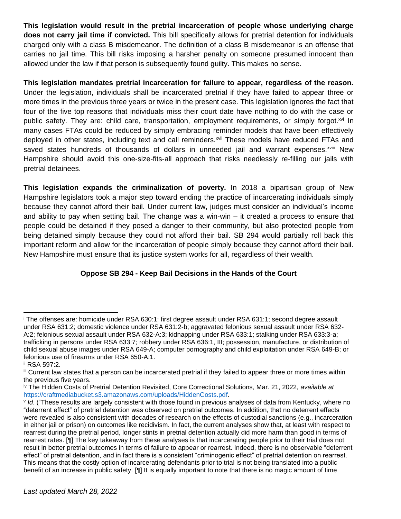**This legislation would result in the pretrial incarceration of people whose underlying charge does not carry jail time if convicted.** This bill specifically allows for pretrial detention for individuals charged only with a class B misdemeanor. The definition of a class B misdemeanor is an offense that carries no jail time. This bill risks imposing a harsher penalty on someone presumed innocent than allowed under the law if that person is subsequently found guilty. This makes no sense.

**This legislation mandates pretrial incarceration for failure to appear, regardless of the reason.** Under the legislation, individuals shall be incarcerated pretrial if they have failed to appear three or more times in the previous three years or twice in the present case. This legislation ignores the fact that four of the five top reasons that individuals miss their court date have nothing to do with the case or public safety. They are: child care, transportation, employment requirements, or simply forgot.<sup>xvi</sup> In many cases FTAs could be reduced by simply embracing reminder models that have been effectively deployed in other states, including text and call reminders.<sup>xvii</sup> These models have reduced FTAs and saved states hundreds of thousands of dollars in unneeded jail and warrant expenses.<sup>xviii</sup> New Hampshire should avoid this one-size-fits-all approach that risks needlessly re-filling our jails with pretrial detainees.

**This legislation expands the criminalization of poverty.** In 2018 a bipartisan group of New Hampshire legislators took a major step toward ending the practice of incarcerating individuals simply because they cannot afford their bail. Under current law, judges must consider an individual's income and ability to pay when setting bail. The change was a win-win – it created a process to ensure that people could be detained if they posed a danger to their community, but also protected people from being detained simply because they could not afford their bail. SB 294 would partially roll back this important reform and allow for the incarceration of people simply because they cannot afford their bail. New Hampshire must ensure that its justice system works for all, regardless of their wealth.

## **Oppose SB 294 - Keep Bail Decisions in the Hands of the Court**

<sup>i</sup> The offenses are: homicide under RSA 630:1; first degree assault under RSA 631:1; second degree assault under RSA 631:2; domestic violence under RSA 631:2-b; aggravated felonious sexual assault under RSA 632- A:2; felonious sexual assault under RSA 632-A:3; kidnapping under RSA 633:1; stalking under RSA 633:3-a; trafficking in persons under RSA 633:7; robbery under RSA 636:1, III; possession, manufacture, or distribution of child sexual abuse images under RSA 649-A; computer pornography and child exploitation under RSA 649-B; or felonious use of firearms under RSA 650-A:1.

ii RSA 597:2.

iii Current law states that a person can be incarcerated pretrial if they failed to appear three or more times within the previous five years.

iv The Hidden Costs of Pretrial Detention Revisited, Core Correctional Solutions, Mar. 21, 2022, *available at* [https://craftmediabucket.s3.amazonaws.com/uploads/HiddenCosts.pdf.](https://craftmediabucket.s3.amazonaws.com/uploads/HiddenCosts.pdf)

v *Id*. ("These results are largely consistent with those found in previous analyses of data from Kentucky, where no "deterrent effect" of pretrial detention was observed on pretrial outcomes. In addition, that no deterrent effects were revealed is also consistent with decades of research on the effects of custodial sanctions (e.g., incarceration in either jail or prison) on outcomes like recidivism. In fact, the current analyses show that, at least with respect to rearrest during the pretrial period, longer stints in pretrial detention actually did more harm than good in terms of rearrest rates. [¶] The key takeaway from these analyses is that incarcerating people prior to their trial does not result in better pretrial outcomes in terms of failure to appear or rearrest. Indeed, there is no observable "deterrent effect" of pretrial detention, and in fact there is a consistent "criminogenic effect" of pretrial detention on rearrest. This means that the costly option of incarcerating defendants prior to trial is not being translated into a public benefit of an increase in public safety. [¶] It is equally important to note that there is no magic amount of time